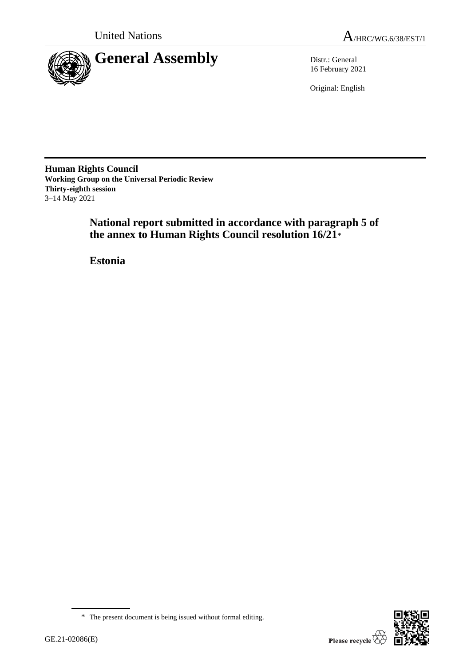

16 February 2021

Original: English

**Human Rights Council Working Group on the Universal Periodic Review Thirty-eighth session** 3–14 May 2021

> **National report submitted in accordance with paragraph 5 of the annex to Human Rights Council resolution 16/21**\*

**Estonia**

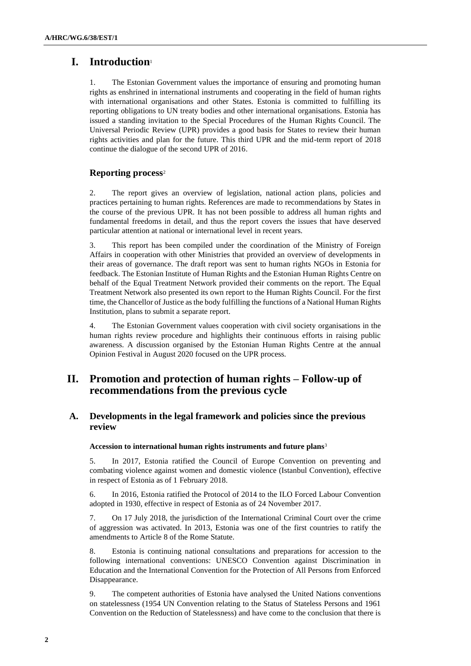# **I. Introduction**<sup>1</sup>

1. The Estonian Government values the importance of ensuring and promoting human rights as enshrined in international instruments and cooperating in the field of human rights with international organisations and other States. Estonia is committed to fulfilling its reporting obligations to UN treaty bodies and other international organisations. Estonia has issued a standing invitation to the Special Procedures of the Human Rights Council. The Universal Periodic Review (UPR) provides a good basis for States to review their human rights activities and plan for the future. This third UPR and the mid-term report of 2018 continue the dialogue of the second UPR of 2016.

# **Reporting process**<sup>2</sup>

2. The report gives an overview of legislation, national action plans, policies and practices pertaining to human rights. References are made to recommendations by States in the course of the previous UPR. It has not been possible to address all human rights and fundamental freedoms in detail, and thus the report covers the issues that have deserved particular attention at national or international level in recent years.

3. This report has been compiled under the coordination of the Ministry of Foreign Affairs in cooperation with other Ministries that provided an overview of developments in their areas of governance. The draft report was sent to human rights NGOs in Estonia for feedback. The Estonian Institute of Human Rights and the Estonian Human Rights Centre on behalf of the Equal Treatment Network provided their comments on the report. The Equal Treatment Network also presented its own report to the Human Rights Council. For the first time, the Chancellor of Justice as the body fulfilling the functions of a National Human Rights Institution, plans to submit a separate report.

4. The Estonian Government values cooperation with civil society organisations in the human rights review procedure and highlights their continuous efforts in raising public awareness. A discussion organised by the Estonian Human Rights Centre at the annual Opinion Festival in August 2020 focused on the UPR process.

# **II. Promotion and protection of human rights – Follow-up of recommendations from the previous cycle**

# **A. Developments in the legal framework and policies since the previous review**

# **Accession to international human rights instruments and future plans**<sup>3</sup>

5. In 2017, Estonia ratified the Council of Europe Convention on preventing and combating violence against women and domestic violence (Istanbul Convention), effective in respect of Estonia as of 1 February 2018.

6. In 2016, Estonia ratified the Protocol of 2014 to the ILO Forced Labour Convention adopted in 1930, effective in respect of Estonia as of 24 November 2017.

7. On 17 July 2018, the jurisdiction of the International Criminal Court over the crime of aggression was activated. In 2013, Estonia was one of the first countries to ratify the amendments to Article 8 of the Rome Statute.

8. Estonia is continuing national consultations and preparations for accession to the following international conventions: UNESCO Convention against Discrimination in Education and the International Convention for the Protection of All Persons from Enforced Disappearance.

9. The competent authorities of Estonia have analysed the United Nations conventions on statelessness (1954 UN Convention relating to the Status of Stateless Persons and 1961 Convention on the Reduction of Statelessness) and have come to the conclusion that there is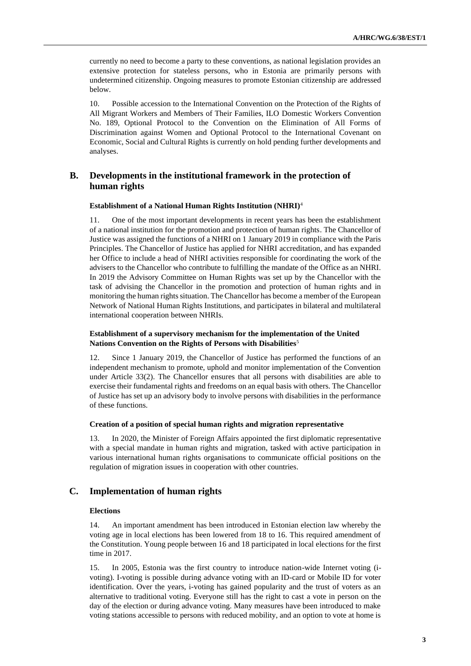currently no need to become a party to these conventions, as national legislation provides an extensive protection for stateless persons, who in Estonia are primarily persons with undetermined citizenship. Ongoing measures to promote Estonian citizenship are addressed below.

10. Possible accession to the International Convention on the Protection of the Rights of All Migrant Workers and Members of Their Families, ILO Domestic Workers Convention No. 189, Optional Protocol to the Convention on the Elimination of All Forms of Discrimination against Women and Optional Protocol to the International Covenant on Economic, Social and Cultural Rights is currently on hold pending further developments and analyses.

# **B. Developments in the institutional framework in the protection of human rights**

#### **Establishment of a National Human Rights Institution (NHRI)**<sup>4</sup>

11. One of the most important developments in recent years has been the establishment of a national institution for the promotion and protection of human rights. The Chancellor of Justice was assigned the functions of a NHRI on 1 January 2019 in compliance with the Paris Principles. The Chancellor of Justice has applied for NHRI accreditation, and has expanded her Office to include a head of NHRI activities responsible for coordinating the work of the advisers to the Chancellor who contribute to fulfilling the mandate of the Office as an NHRI. In 2019 the Advisory Committee on Human Rights was set up by the Chancellor with the task of advising the Chancellor in the promotion and protection of human rights and in monitoring the human rights situation. The Chancellor has become a member of the European Network of National Human Rights Institutions, and participates in bilateral and multilateral international cooperation between NHRIs.

# **Establishment of a supervisory mechanism for the implementation of the United Nations Convention on the Rights of Persons with Disabilities**<sup>5</sup>

12. Since 1 January 2019, the Chancellor of Justice has performed the functions of an independent mechanism to promote, uphold and monitor implementation of the Convention under Article 33(2). The Chancellor ensures that all persons with disabilities are able to exercise their fundamental rights and freedoms on an equal basis with others. The Chancellor of Justice has set up an advisory body to involve persons with disabilities in the performance of these functions.

#### **Creation of a position of special human rights and migration representative**

13. In 2020, the Minister of Foreign Affairs appointed the first diplomatic representative with a special mandate in human rights and migration, tasked with active participation in various international human rights organisations to communicate official positions on the regulation of migration issues in cooperation with other countries.

# **C. Implementation of human rights**

#### **Elections**

14. An important amendment has been introduced in Estonian election law whereby the voting age in local elections has been lowered from 18 to 16. This required amendment of the Constitution. Young people between 16 and 18 participated in local elections for the first time in 2017.

15. In 2005, Estonia was the first country to introduce nation-wide Internet voting (ivoting). I-voting is possible during advance voting with an ID-card or Mobile ID for voter identification. Over the years, i-voting has gained popularity and the trust of voters as an alternative to traditional voting. Everyone still has the right to cast a vote in person on the day of the election or during advance voting. Many measures have been introduced to make voting stations accessible to persons with reduced mobility, and an option to vote at home is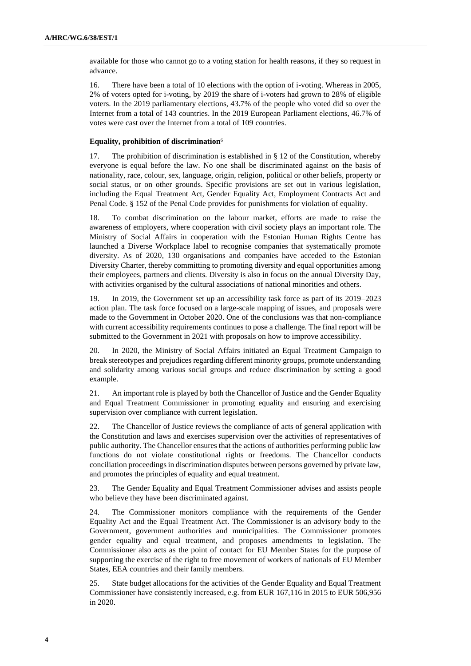available for those who cannot go to a voting station for health reasons, if they so request in advance.

16. There have been a total of 10 elections with the option of i-voting. Whereas in 2005, 2% of voters opted for i-voting, by 2019 the share of i-voters had grown to 28% of eligible voters. In the 2019 parliamentary elections, 43.7% of the people who voted did so over the Internet from a total of 143 countries. In the 2019 European Parliament elections, 46.7% of votes were cast over the Internet from a total of 109 countries.

## **Equality, prohibition of discrimination**<sup>6</sup>

17. The prohibition of discrimination is established in § 12 of the Constitution, whereby everyone is equal before the law. No one shall be discriminated against on the basis of nationality, race, colour, sex, language, origin, religion, political or other beliefs, property or social status, or on other grounds. Specific provisions are set out in various legislation, including the Equal Treatment Act, Gender Equality Act, Employment Contracts Act and Penal Code. § 152 of the Penal Code provides for punishments for violation of equality.

18. To combat discrimination on the labour market, efforts are made to raise the awareness of employers, where cooperation with civil society plays an important role. The Ministry of Social Affairs in cooperation with the Estonian Human Rights Centre has launched a Diverse Workplace label to recognise companies that systematically promote diversity. As of 2020, 130 organisations and companies have acceded to the Estonian Diversity Charter, thereby committing to promoting diversity and equal opportunities among their employees, partners and clients. Diversity is also in focus on the annual Diversity Day, with activities organised by the cultural associations of national minorities and others.

19. In 2019, the Government set up an accessibility task force as part of its 2019–2023 action plan. The task force focused on a large-scale mapping of issues, and proposals were made to the Government in October 2020. One of the conclusions was that non-compliance with current accessibility requirements continues to pose a challenge. The final report will be submitted to the Government in 2021 with proposals on how to improve accessibility.

20. In 2020, the Ministry of Social Affairs initiated an Equal Treatment Campaign to break stereotypes and prejudices regarding different minority groups, promote understanding and solidarity among various social groups and reduce discrimination by setting a good example.

21. An important role is played by both the Chancellor of Justice and the Gender Equality and Equal Treatment Commissioner in promoting equality and ensuring and exercising supervision over compliance with current legislation.

22. The Chancellor of Justice reviews the compliance of acts of general application with the Constitution and laws and exercises supervision over the activities of representatives of public authority. The Chancellor ensures that the actions of authorities performing public law functions do not violate constitutional rights or freedoms. The Chancellor conducts conciliation proceedings in discrimination disputes between persons governed by private law, and promotes the principles of equality and equal treatment.

23. The Gender Equality and Equal Treatment Commissioner advises and assists people who believe they have been discriminated against.

24. The Commissioner monitors compliance with the requirements of the Gender Equality Act and the Equal Treatment Act. The Commissioner is an advisory body to the Government, government authorities and municipalities. The Commissioner promotes gender equality and equal treatment, and proposes amendments to legislation. The Commissioner also acts as the point of contact for EU Member States for the purpose of supporting the exercise of the right to free movement of workers of nationals of EU Member States, EEA countries and their family members.

25. State budget allocations for the activities of the Gender Equality and Equal Treatment Commissioner have consistently increased, e.g. from EUR 167,116 in 2015 to EUR 506,956 in 2020.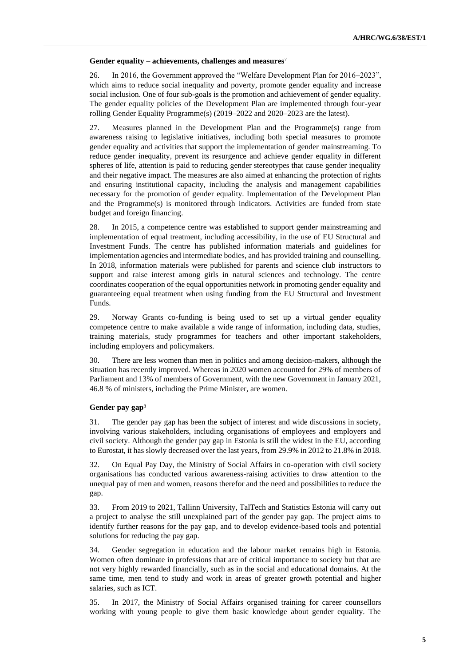#### **Gender equality – achievements, challenges and measures**<sup>7</sup>

26. In 2016, the Government approved the "Welfare Development Plan for 2016–2023", which aims to reduce social inequality and poverty, promote gender equality and increase social inclusion. One of four sub-goals is the promotion and achievement of gender equality. The gender equality policies of the Development Plan are implemented through four-year rolling Gender Equality Programme(s) (2019–2022 and 2020–2023 are the latest).

27. Measures planned in the Development Plan and the Programme(s) range from awareness raising to legislative initiatives, including both special measures to promote gender equality and activities that support the implementation of gender mainstreaming. To reduce gender inequality, prevent its resurgence and achieve gender equality in different spheres of life, attention is paid to reducing gender stereotypes that cause gender inequality and their negative impact. The measures are also aimed at enhancing the protection of rights and ensuring institutional capacity, including the analysis and management capabilities necessary for the promotion of gender equality. Implementation of the Development Plan and the Programme(s) is monitored through indicators. Activities are funded from state budget and foreign financing.

28. In 2015, a competence centre was established to support gender mainstreaming and implementation of equal treatment, including accessibility, in the use of EU Structural and Investment Funds. The centre has published information materials and guidelines for implementation agencies and intermediate bodies, and has provided training and counselling. In 2018, information materials were published for parents and science club instructors to support and raise interest among girls in natural sciences and technology. The centre coordinates cooperation of the equal opportunities network in promoting gender equality and guaranteeing equal treatment when using funding from the EU Structural and Investment Funds.

29. Norway Grants co-funding is being used to set up a virtual gender equality competence centre to make available a wide range of information, including data, studies, training materials, study programmes for teachers and other important stakeholders, including employers and policymakers.

30. There are less women than men in politics and among decision-makers, although the situation has recently improved. Whereas in 2020 women accounted for 29% of members of Parliament and 13% of members of Government, with the new Government in January 2021, 46.8 % of ministers, including the Prime Minister, are women.

# **Gender pay gap**<sup>8</sup>

31. The gender pay gap has been the subject of interest and wide discussions in society, involving various stakeholders, including organisations of employees and employers and civil society. Although the gender pay gap in Estonia is still the widest in the EU, according to Eurostat, it has slowly decreased over the last years, from 29.9% in 2012 to 21.8% in 2018.

32. On Equal Pay Day, the Ministry of Social Affairs in co-operation with civil society organisations has conducted various awareness-raising activities to draw attention to the unequal pay of men and women, reasons therefor and the need and possibilities to reduce the gap.

33. From 2019 to 2021, Tallinn University, TalTech and Statistics Estonia will carry out a project to analyse the still unexplained part of the gender pay gap. The project aims to identify further reasons for the pay gap, and to develop evidence-based tools and potential solutions for reducing the pay gap.

34. Gender segregation in education and the labour market remains high in Estonia. Women often dominate in professions that are of critical importance to society but that are not very highly rewarded financially, such as in the social and educational domains. At the same time, men tend to study and work in areas of greater growth potential and higher salaries, such as ICT.

35. In 2017, the Ministry of Social Affairs organised training for career counsellors working with young people to give them basic knowledge about gender equality. The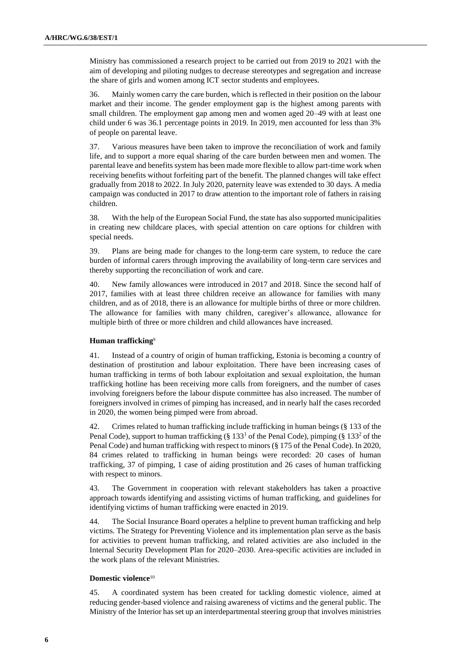Ministry has commissioned a research project to be carried out from 2019 to 2021 with the aim of developing and piloting nudges to decrease stereotypes and segregation and increase the share of girls and women among ICT sector students and employees.

36. Mainly women carry the care burden, which is reflected in their position on the labour market and their income. The gender employment gap is the highest among parents with small children. The employment gap among men and women aged 20–49 with at least one child under 6 was 36.1 percentage points in 2019. In 2019, men accounted for less than 3% of people on parental leave.

37. Various measures have been taken to improve the reconciliation of work and family life, and to support a more equal sharing of the care burden between men and women. The parental leave and benefits system has been made more flexible to allow part-time work when receiving benefits without forfeiting part of the benefit. The planned changes will take effect gradually from 2018 to 2022. In July 2020, paternity leave was extended to 30 days. A media campaign was conducted in 2017 to draw attention to the important role of fathers in raising children.

38. With the help of the European Social Fund, the state has also supported municipalities in creating new childcare places, with special attention on care options for children with special needs.

39. Plans are being made for changes to the long-term care system, to reduce the care burden of informal carers through improving the availability of long-term care services and thereby supporting the reconciliation of work and care.

40. New family allowances were introduced in 2017 and 2018. Since the second half of 2017, families with at least three children receive an allowance for families with many children, and as of 2018, there is an allowance for multiple births of three or more children. The allowance for families with many children, caregiver's allowance, allowance for multiple birth of three or more children and child allowances have increased.

#### **Human trafficking**<sup>9</sup>

41. Instead of a country of origin of human trafficking, Estonia is becoming a country of destination of prostitution and labour exploitation. There have been increasing cases of human trafficking in terms of both labour exploitation and sexual exploitation, the human trafficking hotline has been receiving more calls from foreigners, and the number of cases involving foreigners before the labour dispute committee has also increased. The number of foreigners involved in crimes of pimping has increased, and in nearly half the cases recorded in 2020, the women being pimped were from abroad.

42. Crimes related to human trafficking include trafficking in human beings (§ 133 of the Penal Code), support to human trafficking (§ 133<sup>1</sup> of the Penal Code), pimping (§ 133<sup>2</sup> of the Penal Code) and human trafficking with respect to minors (§ 175 of the Penal Code). In 2020, 84 crimes related to trafficking in human beings were recorded: 20 cases of human trafficking, 37 of pimping, 1 case of aiding prostitution and 26 cases of human trafficking with respect to minors.

43. The Government in cooperation with relevant stakeholders has taken a proactive approach towards identifying and assisting victims of human trafficking, and [guidelines](https://www.kriminaalpoliitika.ee/sites/krimipoliitika/files/elfinder/dokumendid/ik_juhis_2019.pdf) for identifying victims of human trafficking were enacted in 2019.

44. The Social Insurance Board operates a helpline to prevent human trafficking and help victims. The Strategy for Preventing Violence and its implementation plan serve as the basis for activities to prevent human trafficking, and related activities are also included in the Internal Security Development Plan for 2020–2030. Area-specific activities are included in the work plans of the relevant Ministries.

### **Domestic violence**<sup>10</sup>

45. A coordinated system has been created for tackling domestic violence, aimed at reducing gender-based violence and raising awareness of victims and the general public. The Ministry of the Interior has set up an interdepartmental steering group that involves ministries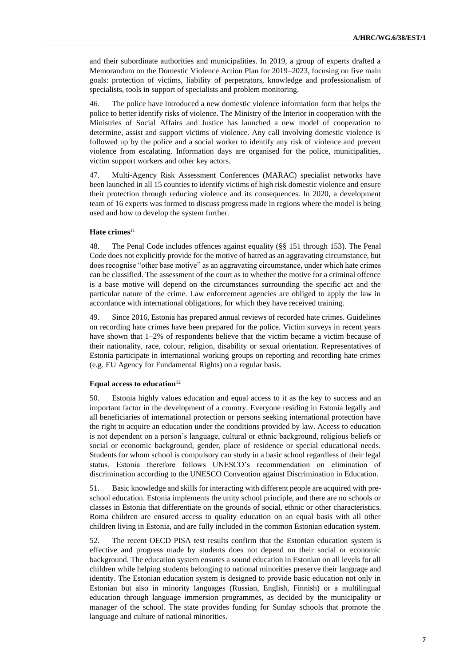and their subordinate authorities and municipalities. In 2019, a group of experts drafted a Memorandum on the Domestic Violence Action Plan for 2019–2023, focusing on five main goals: protection of victims, liability of perpetrators, knowledge and professionalism of specialists, tools in support of specialists and problem monitoring.

46. The police have introduced a new domestic violence information form that helps the police to better identify risks of violence. The Ministry of the Interior in cooperation with the Ministries of Social Affairs and Justice has launched a new model of cooperation to determine, assist and support victims of violence. Any call involving domestic violence is followed up by the police and a social worker to identify any risk of violence and prevent violence from escalating. Information days are organised for the police, municipalities, victim support workers and other key actors.

47. Multi-Agency Risk Assessment Conferences (MARAC) specialist networks have been launched in all 15 counties to identify victims of high risk domestic violence and ensure their protection through reducing violence and its consequences. In 2020, a development team of 16 experts was formed to discuss progress made in regions where the model is being used and how to develop the system further.

### Hate crimes<sup>11</sup>

48. The Penal Code includes offences against equality (§§ 151 through 153). The Penal Code does not explicitly provide for the motive of hatred as an aggravating circumstance, but does recognise "other base motive" as an aggravating circumstance, under which hate crimes can be classified. The assessment of the court as to whether the motive for a criminal offence is a base motive will depend on the circumstances surrounding the specific act and the particular nature of the crime. Law enforcement agencies are obliged to apply the law in accordance with international obligations, for which they have received training.

49. Since 2016, Estonia has prepared annual reviews of recorded hate crimes. Guidelines on recording hate crimes have been prepared for the police. Victim surveys in recent years have shown that 1–2% of respondents believe that the victim became a victim because of their nationality, race, colour, religion, disability or sexual orientation. Representatives of Estonia participate in international working groups on reporting and recording hate crimes (e.g. EU Agency for Fundamental Rights) on a regular basis.

#### Equal access to education<sup>12</sup>

50. Estonia highly values education and equal access to it as the key to success and an important factor in the development of a country. Everyone residing in Estonia legally and all beneficiaries of international protection or persons seeking international protection have the right to acquire an education under the conditions provided by law. Access to education is not dependent on a person's language, cultural or ethnic background, religious beliefs or social or economic background, gender, place of residence or special educational needs. Students for whom school is compulsory can study in a basic school regardless of their legal status. Estonia therefore follows UNESCO's recommendation on elimination of discrimination according to the UNESCO Convention against Discrimination in Education.

51. Basic knowledge and skills for interacting with different people are acquired with preschool education. Estonia implements the unity school principle, and there are no schools or classes in Estonia that differentiate on the grounds of social, ethnic or other characteristics. Roma children are ensured access to quality education on an equal basis with all other children living in Estonia, and are fully included in the common Estonian education system.

52. The recent OECD PISA test results confirm that the Estonian education system is effective and progress made by students does not depend on their social or economic background. The education system ensures a sound education in Estonian on all levels for all children while helping students belonging to national minorities preserve their language and identity. The Estonian education system is designed to provide basic education not only in Estonian but also in minority languages (Russian, English, Finnish) or a multilingual education through language immersion programmes, as decided by the municipality or manager of the school. The state provides funding for Sunday schools that promote the language and culture of national minorities.

**7**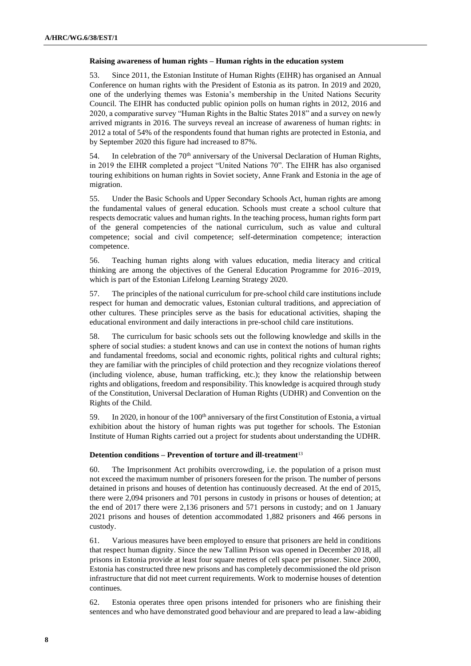#### **Raising awareness of human rights – Human rights in the education system**

53. Since 2011, the Estonian Institute of Human Rights (EIHR) has organised an [Annual](https://aastakonverents.humanrightsestonia.ee/en/)  [Conference](https://aastakonverents.humanrightsestonia.ee/en/) on human rights with the President of Estonia as its patron. In 2019 and 2020, one of the underlying themes was Estonia's membership in the United Nations Security Council. The EIHR has conducted [public opinion polls](https://www.humanrightsestonia.ee/en/research-surveys/) on human rights in 2012, 2016 and 2020, a comparative survey "Human Rights in the Baltic States 2018" and a survey on newly arrived migrants in 2016. The surveys reveal an increase of awareness of human rights: in 2012 a total of 54% of the respondents found that human rights are protected in Estonia, and by September 2020 this figure had increased to 87%.

54. In celebration of the 70<sup>th</sup> anniversary of the Universal Declaration of Human Rights, in 2019 the EIHR completed a project "United Nations 70". The EIHR has also organised touring exhibitions on human rights in Soviet society, Anne Frank and Estonia in the age of migration.

55. Under the Basic Schools and Upper Secondary Schools Act, human rights are among the fundamental values of general education. Schools must create a school culture that respects democratic values and human rights. In the teaching process, human rights form part of the general competencies of the national curriculum, such as value and cultural competence; social and civil competence; self-determination competence; interaction competence.

56. Teaching human rights along with values education, media literacy and critical thinking are among the objectives of the General Education Programme for 2016–2019, which is part of the Estonian Lifelong Learning Strategy 2020.

57. The principles of the national curriculum for pre-school child care institutions include respect for human and democratic values, Estonian cultural traditions, and appreciation of other cultures. These principles serve as the basis for educational activities, shaping the educational environment and daily interactions in pre-school child care institutions.

58. The curriculum for basic schools sets out the following knowledge and skills in the sphere of social studies: a student knows and can use in context the notions of human rights and fundamental freedoms, social and economic rights, political rights and cultural rights; they are familiar with the principles of child protection and they recognize violations thereof (including violence, abuse, human trafficking, etc.); they know the relationship between rights and obligations, freedom and responsibility. This knowledge is acquired through study of the Constitution, Universal Declaration of Human Rights (UDHR) and Convention on the Rights of the Child.

59. In 2020, in honour of the 100<sup>th</sup> anniversary of the first Constitution of Estonia, a virtual exhibition about the history of human rights was put together for schools. The Estonian Institute of Human Rights carried out a project for students about understanding the UDHR.

#### **Detention conditions – Prevention of torture and ill-treatment**<sup>13</sup>

60. The Imprisonment Act prohibits overcrowding, i.e. the population of a prison must not exceed the maximum number of prisoners foreseen for the prison. The number of persons detained in prisons and houses of detention has continuously decreased. At the end of 2015, there were 2,094 prisoners and 701 persons in custody in prisons or houses of detention; at the end of 2017 there were 2,136 prisoners and 571 persons in custody; and on 1 January 2021 prisons and houses of detention accommodated 1,882 prisoners and 466 persons in custody.

61. Various measures have been employed to ensure that prisoners are held in conditions that respect human dignity. Since the new Tallinn Prison was opened in December 2018, all prisons in Estonia provide at least four square metres of cell space per prisoner. Since 2000, Estonia has constructed three new prisons and has completely decommissioned the old prison infrastructure that did not meet current requirements. Work to modernise houses of detention continues.

62. Estonia operates three open prisons intended for prisoners who are finishing their sentences and who have demonstrated good behaviour and are prepared to lead a law-abiding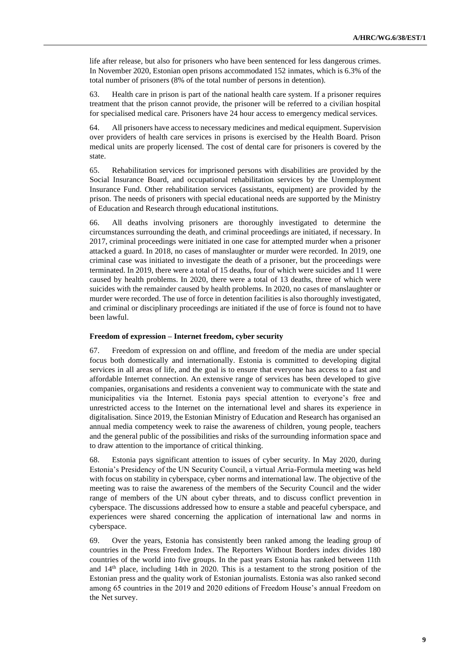life after release, but also for prisoners who have been sentenced for less dangerous crimes. In November 2020, Estonian open prisons accommodated 152 inmates, which is 6.3% of the total number of prisoners (8% of the total number of persons in detention).

63. Health care in prison is part of the national health care system. If a prisoner requires treatment that the prison cannot provide, the prisoner will be referred to a civilian hospital for specialised medical care. Prisoners have 24 hour access to emergency medical services.

64. All prisoners have access to necessary medicines and medical equipment. Supervision over providers of health care services in prisons is exercised by the Health Board. Prison medical units are properly licensed. The cost of dental care for prisoners is covered by the state.

65. Rehabilitation services for imprisoned persons with disabilities are provided by the Social Insurance Board, and occupational rehabilitation services by the Unemployment Insurance Fund. Other rehabilitation services (assistants, equipment) are provided by the prison. The needs of prisoners with special educational needs are supported by the Ministry of Education and Research through educational institutions.

66. All deaths involving prisoners are thoroughly investigated to determine the circumstances surrounding the death, and criminal proceedings are initiated, if necessary. In 2017, criminal proceedings were initiated in one case for attempted murder when a prisoner attacked a guard. In 2018, no cases of manslaughter or murder were recorded. In 2019, one criminal case was initiated to investigate the death of a prisoner, but the proceedings were terminated. In 2019, there were a total of 15 deaths, four of which were suicides and 11 were caused by health problems. In 2020, there were a total of 13 deaths, three of which were suicides with the remainder caused by health problems. In 2020, no cases of manslaughter or murder were recorded. The use of force in detention facilities is also thoroughly investigated, and criminal or disciplinary proceedings are initiated if the use of force is found not to have been lawful.

#### **Freedom of expression – Internet freedom, cyber security**

67. Freedom of expression on and offline, and freedom of the media are under special focus both domestically and internationally. Estonia is committed to developing digital services in all areas of life, and the goal is to ensure that everyone has access to a fast and affordable Internet connection. An extensive range of services has been developed to give companies, organisations and residents a convenient way to communicate with the state and municipalities via the Internet. Estonia pays special attention to everyone's free and unrestricted access to the Internet on the international level and shares its experience in digitalisation. Since 2019, the Estonian Ministry of Education and Research has organised an annual media competency week to raise the awareness of children, young people, teachers and the general public of the possibilities and risks of the surrounding information space and to draw attention to the importance of critical thinking.

68. Estonia pays significant attention to issues of cyber security. In May 2020, during Estonia's Presidency of the UN Security Council, a virtual Arria-Formula meeting was held with focus on stability in cyberspace, cyber norms and international law. The objective of the meeting was to raise the awareness of the members of the Security Council and the wider range of members of the UN about cyber threats, and to discuss conflict prevention in cyberspace. The discussions addressed how to ensure a stable and peaceful cyberspace, and experiences were shared concerning the application of international law and norms in cyberspace.

69. Over the years, Estonia has consistently been ranked among the leading group of countries in the Press Freedom Index. The Reporters Without Borders index divides 180 countries of the world into five groups. In the past years Estonia has ranked between 11th and 14th place, including 14th in 2020. This is a testament to the strong position of the Estonian press and the quality work of Estonian journalists. Estonia was also ranked second among 65 countries in the 2019 and 2020 editions of Freedom House's annual Freedom on the Net survey.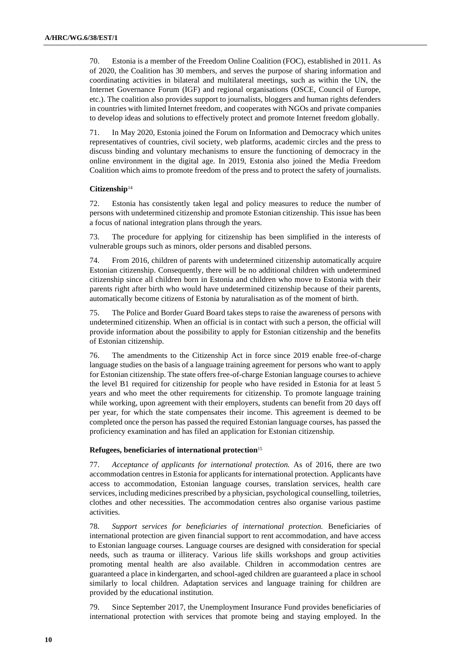70. Estonia is a member of the Freedom Online Coalition (FOC), established in 2011. As of 2020, the Coalition has 30 members, and serves the purpose of sharing information and coordinating activities in bilateral and multilateral meetings, such as within the UN, the Internet Governance Forum (IGF) and regional organisations (OSCE, Council of Europe, etc.). The coalition also provides support to journalists, bloggers and human rights defenders in countries with limited Internet freedom, and cooperates with NGOs and private companies to develop ideas and solutions to effectively protect and promote Internet freedom globally.

71. In May 2020, Estonia joined the Forum on Information and Democracy which unites representatives of countries, civil society, web platforms, academic circles and the press to discuss binding and voluntary mechanisms to ensure the functioning of democracy in the online environment in the digital age. In 2019, Estonia also joined the Media Freedom Coalition which aims to promote freedom of the press and to protect the safety of journalists.

# **Citizenship**<sup>14</sup>

72. Estonia has consistently taken legal and policy measures to reduce the number of persons with undetermined citizenship and promote Estonian citizenship. This issue has been a focus of national integration plans through the years.

73. The procedure for applying for citizenship has been simplified in the interests of vulnerable groups such as minors, older persons and disabled persons.

74. From 2016, children of parents with undetermined citizenship automatically acquire Estonian citizenship. Consequently, there will be no additional children with undetermined citizenship since all children born in Estonia and children who move to Estonia with their parents right after birth who would have undetermined citizenship because of their parents, automatically become citizens of Estonia by naturalisation as of the moment of birth.

75. The Police and Border Guard Board takes steps to raise the awareness of persons with undetermined citizenship. When an official is in contact with such a person, the official will provide information about the possibility to apply for Estonian citizenship and the benefits of Estonian citizenship.

76. The amendments to the Citizenship Act in force since 2019 enable free-of-charge language studies on the basis of a language training agreement for persons who want to apply for Estonian citizenship. The state offers free-of-charge Estonian language courses to achieve the level B1 required for citizenship for people who have resided in Estonia for at least 5 years and who meet the other requirements for citizenship. To promote language training while working, upon agreement with their employers, students can benefit from 20 days off per year, for which the state compensates their income. This agreement is deemed to be completed once the person has passed the required Estonian language courses, has passed the proficiency examination and has filed an application for Estonian citizenship.

#### **Refugees, beneficiaries of international protection**<sup>15</sup>

77. *Acceptance of applicants for international protection.* As of 2016, there are two accommodation centres in Estonia for applicants for international protection. Applicants have access to accommodation, Estonian language courses, translation services, health care services, including medicines prescribed by a physician, psychological counselling, toiletries, clothes and other necessities. The accommodation centres also organise various pastime activities.

78. *Support services for beneficiaries of international protection.* Beneficiaries of international protection are given financial support to rent accommodation, and have access to Estonian language courses. Language courses are designed with consideration for special needs, such as trauma or illiteracy. Various life skills workshops and group activities promoting mental health are also available. Children in accommodation centres are guaranteed a place in kindergarten, and school-aged children are guaranteed a place in school similarly to local children. Adaptation services and language training for children are provided by the educational institution.

79. Since September 2017, the Unemployment Insurance Fund provides beneficiaries of international protection with services that promote being and staying employed. In the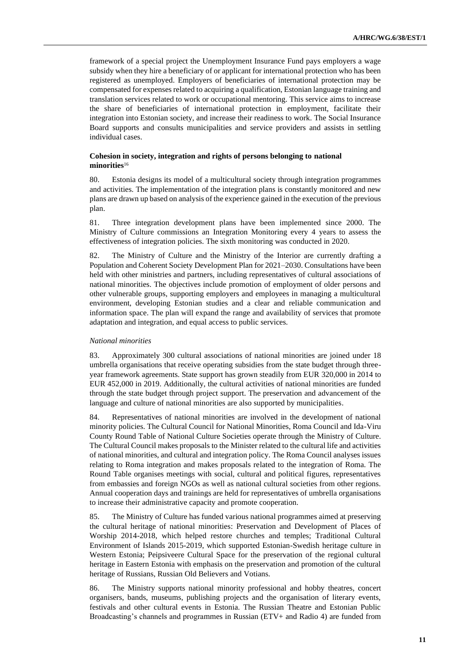framework of a special project the Unemployment Insurance Fund pays employers a wage subsidy when they hire a beneficiary of or applicant for international protection who has been registered as unemployed. Employers of beneficiaries of international protection may be compensated for expenses related to acquiring a qualification, Estonian language training and translation services related to work or occupational mentoring. This service aims to increase the share of beneficiaries of international protection in employment, facilitate their integration into Estonian society, and increase their readiness to work. The Social Insurance Board supports and consults municipalities and service providers and assists in settling individual cases.

### **Cohesion in society, integration and rights of persons belonging to national minorities**<sup>16</sup>

80. Estonia designs its model of a multicultural society through integration programmes and activities. The implementation of the integration plans is constantly monitored and new plans are drawn up based on analysis of the experience gained in the execution of the previous plan.

81. Three integration development plans have been implemented since 2000. The Ministry of Culture commissions an Integration Monitoring every 4 years to assess the effectiveness of integration policies. The sixth monitoring was conducted in 2020.

82. The Ministry of Culture and the Ministry of the Interior are currently drafting a Population and Coherent Society Development Plan for 2021–2030. Consultations have been held with other ministries and partners, including representatives of cultural associations of national minorities. The objectives include promotion of employment of older persons and other vulnerable groups, supporting employers and employees in managing a multicultural environment, developing Estonian studies and a clear and reliable communication and information space. The plan will expand the range and availability of services that promote adaptation and integration, and equal access to public services.

#### *National minorities*

83. Approximately 300 cultural associations of national minorities are joined under 18 umbrella organisations that receive operating subsidies from the state budget through threeyear framework agreements. State support has grown steadily from EUR 320,000 in 2014 to EUR 452,000 in 2019. Additionally, the cultural activities of national minorities are funded through the state budget through project support. The preservation and advancement of the language and culture of national minorities are also supported by municipalities.

84. Representatives of national minorities are involved in the development of national minority policies. The Cultural Council for National Minorities, Roma Council and Ida-Viru County Round Table of National Culture Societies operate through the Ministry of Culture. The Cultural Council makes proposals to the Minister related to the cultural life and activities of national minorities, and cultural and integration policy. The Roma Council analyses issues relating to Roma integration and makes proposals related to the integration of Roma. The Round Table organises meetings with social, cultural and political figures, representatives from embassies and foreign NGOs as well as national cultural societies from other regions. Annual cooperation days and trainings are held for representatives of umbrella organisations to increase their administrative capacity and promote cooperation.

85. The Ministry of Culture has funded various national programmes aimed at preserving the cultural heritage of national minorities: Preservation and Development of Places of Worship 2014-2018, which helped restore churches and temples; Traditional Cultural Environment of Islands 2015-2019, which supported Estonian-Swedish heritage culture in Western Estonia; Peipsiveere Cultural Space for the preservation of the regional cultural heritage in Eastern Estonia with emphasis on the preservation and promotion of the cultural heritage of Russians, Russian Old Believers and Votians.

86. The Ministry supports national minority professional and hobby theatres, concert organisers, bands, museums, publishing projects and the organisation of literary events, festivals and other cultural events in Estonia. The Russian Theatre and Estonian Public Broadcasting's channels and programmes in Russian (ETV+ and Radio 4) are funded from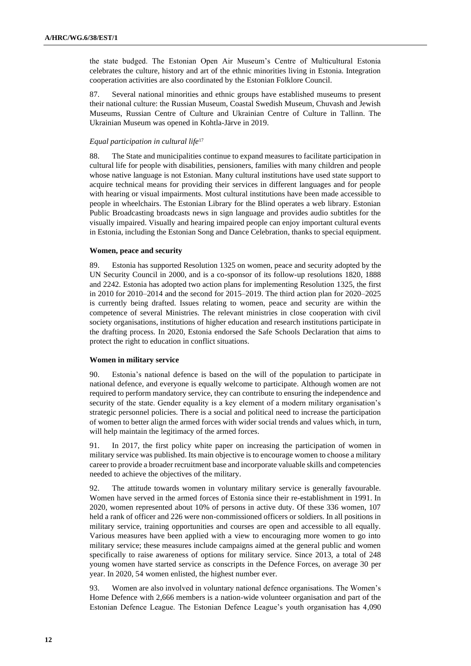the state budged. The Estonian Open Air Museum's Centre of Multicultural Estonia celebrates the culture, history and art of the ethnic minorities living in Estonia. Integration cooperation activities are also coordinated by the Estonian Folklore Council.

87. Several national minorities and ethnic groups have established museums to present their national culture: the Russian Museum, Coastal Swedish Museum, Chuvash and Jewish Museums, Russian Centre of Culture and Ukrainian Centre of Culture in Tallinn. The Ukrainian Museum was opened in Kohtla-Järve in 2019.

## *Equal participation in cultural life*<sup>17</sup>

88. The State and municipalities continue to expand measures to facilitate participation in cultural life for people with disabilities, pensioners, families with many children and people whose native language is not Estonian. Many cultural institutions have used state support to acquire technical means for providing their services in different languages and for people with hearing or visual impairments. Most cultural institutions have been made accessible to people in wheelchairs. The Estonian Library for the Blind operates a web library. Estonian Public Broadcasting broadcasts news in sign language and provides audio subtitles for the visually impaired. Visually and hearing impaired people can enjoy important cultural events in Estonia, including the Estonian Song and Dance Celebration, thanks to special equipment.

#### **Women, peace and security**

89. Estonia has supported Resolution [1325 on women, peace and security](http://www.un.org/en/ga/search/view_doc.asp?symbol=S/RES/1325(2000)) adopted by the UN Security Council in 2000, and is a co-sponsor of its follow-up resolutions 1820, 1888 and 2242. Estonia has adopted two action plans for implementing Resolution 1325, the first in 2010 for 2010–2014 and the second [for 2015–2019.](https://vm.ee/sites/default/files/content-editors/diplomacy/human-rights/1325_tegevuskava_2015-2019_ee.pdf) The third action plan for 2020–2025 is currently being drafted. Issues relating to women, peace and security are within the competence of several Ministries. The relevant ministries in close cooperation with civil society organisations, institutions of higher education and research institutions participate in the drafting process. In 2020, Estonia endorsed the Safe Schools Declaration that aims to protect the right to education in conflict situations.

## **Women in military service**

90. Estonia's national defence is based on the will of the population to participate in national defence, and everyone is equally welcome to participate. Although women are not required to perform mandatory service, they can contribute to ensuring the independence and security of the state. Gender equality is a key element of a modern military organisation's strategic personnel policies. There is a social and political need to increase the participation of women to better align the armed forces with wider social trends and values which, in turn, will help maintain the legitimacy of the armed forces.

91. In 2017, the first policy white paper on increasing the participation of women in military service was published. Its main objective is to encourage women to choose a military career to provide a broader recruitment base and incorporate valuable skills and competencies needed to achieve the objectives of the military.

92. The attitude towards women in voluntary military service is generally favourable. Women have served in the armed forces of Estonia since their re-establishment in 1991. In 2020, women represented about 10% of persons in active duty. Of these 336 women, 107 held a rank of officer and 226 were non-commissioned officers or soldiers. In all positions in military service, training opportunities and courses are open and accessible to all equally. Various measures have been applied with a view to encouraging more women to go into military service; these measures include campaigns aimed at the general public and women specifically to raise awareness of options for military service. Since 2013, a total of 248 young women have started service as conscripts in the Defence Forces, on average 30 per year. In 2020, 54 women enlisted, the highest number ever.

93. Women are also involved in voluntary national defence organisations. The Women's Home Defence with 2,666 members is a nation-wide volunteer organisation and part of the Estonian Defence League. The Estonian Defence League's youth organisation has 4,090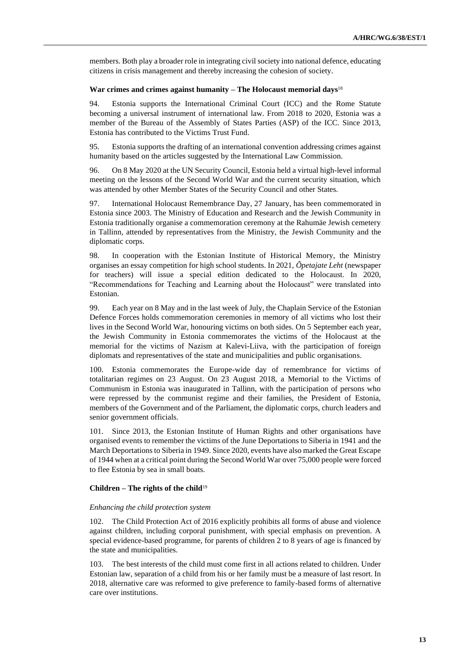members. Both play a broader role in integrating civil society into national defence, educating citizens in crisis management and thereby increasing the cohesion of society.

#### **War crimes and crimes against humanity – The Holocaust memorial days**<sup>18</sup>

94. Estonia supports the International Criminal Court (ICC) and the Rome Statute becoming a universal instrument of international law. From 2018 to 2020, Estonia was a member of the Bureau of the Assembly of States Parties (ASP) of the ICC. Since 2013, Estonia has contributed to the Victims Trust Fund.

95. Estonia supports the drafting of an international convention addressing crimes against humanity based on the articles suggested by the International Law Commission.

96. On 8 May 2020 at the UN Security Council, Estonia held a virtual high-level informal meeting on the lessons of the Second World War and the current security situation, which was attended by other Member States of the Security Council and other States.

97. International Holocaust Remembrance Day, 27 January, has been commemorated in Estonia since 2003. The Ministry of Education and Research and the Jewish Community in Estonia traditionally organise a commemoration ceremony at the Rahumäe Jewish cemetery in Tallinn, attended by representatives from the Ministry, the Jewish Community and the diplomatic corps.

98. In cooperation with the Estonian Institute of Historical Memory, the Ministry organises an essay competition for high school students. In 2021, *Õpetajate Leht* (newspaper for teachers) will issue a special edition dedicated to the Holocaust. In 2020, "Recommendations for Teaching and Learning about the Holocaust" were translated into Estonian.

99. Each year on 8 May and in the last week of July, the Chaplain Service of the Estonian Defence Forces holds commemoration ceremonies in memory of all victims who lost their lives in the Second World War, honouring victims on both sides. On 5 September each year, the Jewish Community in Estonia commemorates the victims of the Holocaust at the memorial for the victims of Nazism at Kalevi-Liiva, with the participation of foreign diplomats and representatives of the state and municipalities and public organisations.

100. Estonia commemorates the Europe-wide day of remembrance for victims of totalitarian regimes on 23 August. On 23 August 2018, a Memorial to the Victims of Communism in Estonia was inaugurated in Tallinn, with the participation of persons who were repressed by the communist regime and their families, the President of Estonia, members of the Government and of the Parliament, the diplomatic corps, church leaders and senior government officials.

101. Since 2013, the Estonian Institute of Human Rights and other organisations have organised events to remember the victims of the June Deportations to Siberia in 1941 and the March Deportations to Siberia in 1949. Since 2020, events have also marked the Great Escape of 1944 when at a critical point during the Second World War over 75,000 people were forced to flee Estonia by sea in small boats.

#### **Children – The rights of the child**<sup>19</sup>

#### *Enhancing the child protection system*

102. The Child Protection Act of 2016 explicitly prohibits all forms of abuse and violence against children, including corporal punishment, with special emphasis on prevention. A special evidence-based programme, for parents of children 2 to 8 years of age is financed by the state and municipalities.

103. The best interests of the child must come first in all actions related to children. Under Estonian law, separation of a child from his or her family must be a measure of last resort. In 2018, alternative care was reformed to give preference to family-based forms of alternative care over institutions.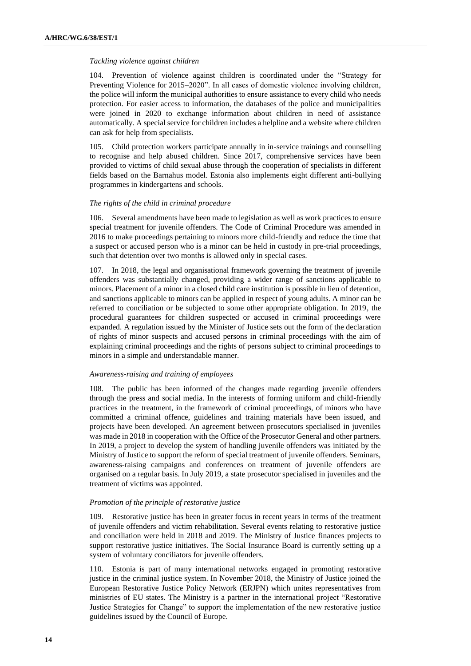#### *Tackling violence against children*

104. Prevention of violence against children is coordinated under the "Strategy for Preventing Violence for 2015–2020". In all cases of domestic violence involving children, the police will inform the municipal authorities to ensure assistance to every child who needs protection. For easier access to information, the databases of the police and municipalities were joined in 2020 to exchange information about children in need of assistance automatically. A special service for children includes a helpline and a [website](https://www.lasteabi.ee/) where children can ask for help from specialists.

105. Child protection workers participate annually in in-service trainings and counselling to recognise and help abused children. Since 2017, comprehensive services have been provided to victims of child sexual abuse through the cooperation of specialists in different fields based on the Barnahus model. Estonia also implements eight different anti-bullying programmes in kindergartens and schools.

#### *The rights of the child in criminal procedure*

106. Several amendments have been made to legislation as well as work practices to ensure special treatment for juvenile offenders. The Code of Criminal Procedure was amended in 2016 to make proceedings pertaining to minors more child-friendly and reduce the time that a suspect or accused person who is a minor can be held in custody in pre-trial proceedings, such that detention over two months is allowed only in special cases.

107. In 2018, the legal and organisational framework governing the treatment of juvenile offenders was substantially changed, providing a wider range of sanctions applicable to minors. Placement of a minor in a closed child care institution is possible in lieu of detention, and sanctions applicable to minors can be applied in respect of young adults. A minor can be referred to conciliation or be subjected to some other appropriate obligation. In 2019, the procedural guarantees for children suspected or accused in criminal proceedings were expanded. A regulation issued by the Minister of Justice sets out the form of the declaration of rights of minor suspects and accused persons in criminal proceedings with the aim of explaining criminal proceedings and the rights of persons subject to criminal proceedings to minors in a simple and understandable manner.

#### *Awareness-raising and training of employees*

108. The public has been informed of the changes made regarding juvenile offenders through the press and social media. In the interests of forming uniform and child-friendly practices in the treatment, in the framework of criminal proceedings, of minors who have committed a criminal offence, guidelines and training materials have been issued, and projects have been developed. An agreement between prosecutors specialised in juveniles was made in 2018 in cooperation with the Office of the Prosecutor General and other partners. In 2019, a project to develop the system of handling juvenile offenders was initiated by the Ministry of Justice to support the reform of special treatment of juvenile offenders. Seminars, awareness-raising campaigns and conferences on treatment of juvenile offenders are organised on a regular basis. In July 2019, a state prosecutor specialised in juveniles and the treatment of victims was appointed.

#### *Promotion of the principle of restorative justice*

109. Restorative justice has been in greater focus in recent years in terms of the treatment of juvenile offenders and victim rehabilitation. Several events relating to restorative justice and conciliation were held in 2018 and 2019. The Ministry of Justice finances projects to support restorative justice initiatives. The Social Insurance Board is currently setting up a system of voluntary conciliators for juvenile offenders.

110. Estonia is part of many international networks engaged in promoting restorative justice in the criminal justice system. In November 2018, the Ministry of Justice joined the European Restorative Justice Policy Network (ERJPN) which unites representatives from ministries of EU states. The Ministry is a partner in the international project "Restorative Justice Strategies for Change" to support the implementation of the new restorative justice guidelines issued by the Council of Europe.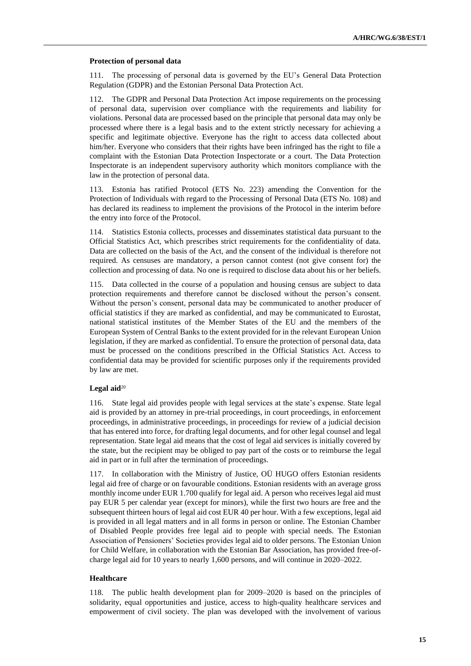#### **Protection of personal data**

111. The processing of personal data is governed by the EU's General Data Protection Regulation (GDPR) and the Estonian Personal Data Protection Act.

112. The GDPR and Personal Data Protection Act impose requirements on the processing of personal data, supervision over compliance with the requirements and liability for violations. Personal data are processed based on the principle that personal data may only be processed where there is a legal basis and to the extent strictly necessary for achieving a specific and legitimate objective. Everyone has the right to access data collected about him/her. Everyone who considers that their rights have been infringed has the right to file a complaint with the Estonian Data Protection Inspectorate or a court. The Data Protection Inspectorate is an independent supervisory authority which monitors compliance with the law in the protection of personal data.

113. Estonia has ratified Protocol (ETS No. 223) amending the Convention for the Protection of Individuals with regard to the Processing of Personal Data (ETS No. 108) and has declared its readiness to implement the provisions of the Protocol in the interim before the entry into force of the Protocol.

114. Statistics Estonia collects, processes and disseminates statistical data pursuant to the Official Statistics Act, which prescribes strict requirements for the confidentiality of data. Data are collected on the basis of the Act, and the consent of the individual is therefore not required. As censuses are mandatory, a person cannot contest (not give consent for) the collection and processing of data. No one is required to disclose data about his or her beliefs.

115. Data collected in the course of a population and housing census are subject to data protection requirements and therefore cannot be disclosed without the person's consent. Without the person's consent, personal data may be communicated to another producer of official statistics if they are marked as confidential, and may be communicated to Eurostat, national statistical institutes of the Member States of the EU and the members of the European System of Central Banks to the extent provided for in the relevant European Union legislation, if they are marked as confidential. To ensure the protection of personal data, data must be processed on the conditions prescribed in the Official Statistics Act. Access to confidential data may be provided for scientific purposes only if the requirements provided by law are met.

#### Legal aid<sup>20</sup>

116. State legal aid provides people with legal services at the state's expense. State legal aid is provided by an attorney in pre-trial proceedings, in court proceedings, in enforcement proceedings, in administrative proceedings, in proceedings for review of a judicial decision that has entered into force, for drafting legal documents, and for other legal counsel and legal representation. State legal aid means that the cost of legal aid services is initially covered by the state, but the recipient may be obliged to pay part of the costs or to reimburse the legal aid in part or in full after the termination of proceedings.

117. In collaboration with the Ministry of Justice, OÜ HUGO offers Estonian residents legal aid free of charge or on favourable conditions. Estonian residents with an average gross monthly income under EUR 1.700 qualify for legal aid. A person who receives legal aid must pay EUR 5 per calendar year (except for minors), while the first two hours are free and the subsequent thirteen hours of legal aid cost EUR 40 per hour. With a few exceptions, legal aid is provided in all legal matters and in all forms in person or online. The Estonian Chamber of Disabled People provides free [legal aid](https://epikoda.ee/mida-me-teeme/noustamine/oigusnoustamine) to people with special needs. The Estonian Association of Pensioners' Societies provide[s legal aid](http://www.eakad.ee/tasuta-oigusabi/) to older persons. The Estonian Union for Child Welfare, in collaboration with the Estonian Bar Association, has provided free-ofcharge legal aid for 10 years to nearly 1,600 persons, and will continue in 2020–2022.

#### **Healthcare**

118. The public health development plan for 2009–2020 is based on the principles of solidarity, equal opportunities and justice, access to high-quality healthcare services and empowerment of civil society. The plan was developed with the involvement of various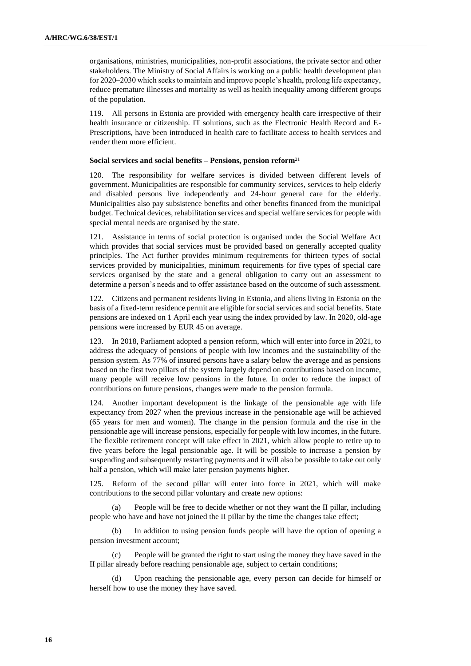organisations, ministries, municipalities, non-profit associations, the private sector and other stakeholders. The Ministry of Social Affairs is working on a public health development plan for 2020–2030 which seeks to maintain and improve people's health, prolong life expectancy, reduce premature illnesses and mortality as well as health inequality among different groups of the population.

119. All persons in Estonia are provided with emergency health care irrespective of their health insurance or citizenship. IT solutions, such as the Electronic Health Record and E-Prescriptions, have been introduced in health care to facilitate access to health services and render them more efficient.

### **Social services and social benefits – Pensions, pension reform**<sup>21</sup>

120. The responsibility for welfare services is divided between different levels of government. Municipalities are responsible for community services, services to help elderly and disabled persons live independently and 24-hour general care for the elderly. Municipalities also pay subsistence benefits and other benefits financed from the municipal budget. Technical devices, rehabilitation services and special welfare services for people with special mental needs are organised by the state.

121. Assistance in terms of social protection is organised under the Social Welfare Act which provides that social services must be provided based on generally accepted quality principles. The Act further provides minimum requirements for thirteen types of social services provided by municipalities, minimum requirements for five types of special care services organised by the state and a general obligation to carry out an assessment to determine a person's needs and to offer assistance based on the outcome of such assessment.

122. Citizens and permanent residents living in Estonia, and aliens living in Estonia on the basis of a fixed-term residence permit are eligible for social services and social benefits. State pensions are indexed on 1 April each year using the index provided by law. In 2020, old-age pensions were increased by EUR 45 on average.

123. In 2018, Parliament adopted a pension reform, which will enter into force in 2021, to address the adequacy of pensions of people with low incomes and the sustainability of the pension system. As 77% of insured persons have a salary below the average and as pensions based on the first two pillars of the system largely depend on contributions based on income, many people will receive low pensions in the future. In order to reduce the impact of contributions on future pensions, changes were made to the pension formula.

124. Another important development is the linkage of the pensionable age with life expectancy from 2027 when the previous increase in the pensionable age will be achieved (65 years for men and women). The change in the pension formula and the rise in the pensionable age will increase pensions, especially for people with low incomes, in the future. The flexible retirement concept will take effect in 2021, which allow people to retire up to five years before the legal pensionable age. It will be possible to increase a pension by suspending and subsequently restarting payments and it will also be possible to take out only half a pension, which will make later pension payments higher.

125. Reform of the second pillar will enter into force in 2021, which will make contributions to the second pillar voluntary and create new options:

(a) People will be free to decide whether or not they want the II pillar, including people who have and have not joined the II pillar by the time the changes take effect;

(b) In addition to using pension funds people will have the option of opening a pension investment account;

(c) People will be granted the right to start using the money they have saved in the II pillar already before reaching pensionable age, subject to certain conditions;

(d) Upon reaching the pensionable age, every person can decide for himself or herself how to use the money they have saved.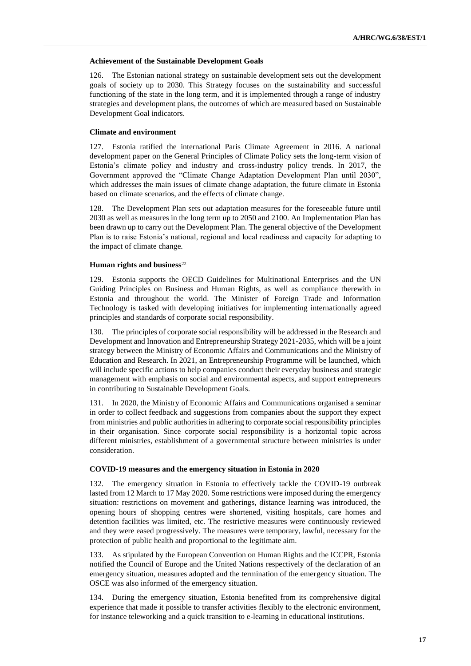#### **Achievement of the Sustainable Development Goals**

126. The Estonian national strategy on sustainable development sets out the development goals of society up to 2030. This Strategy focuses on the sustainability and successful functioning of the state in the long term, and it is implemented through a range of industry strategies and development plans, the outcomes of which are measured based on Sustainable Development Goal indicators.

#### **Climate and environment**

127. Estonia ratified the international Paris Climate Agreement in 2016. A national development paper on the General Principles of Climate Policy sets the long-term vision of Estonia's climate policy and industry and cross-industry policy trends. In 2017, the Government approved the "Climate Change Adaptation Development Plan until 2030", which addresses the main issues of climate change adaptation, the future climate in Estonia based on climate scenarios, and the effects of climate change.

128. The Development Plan sets out adaptation measures for the foreseeable future until 2030 as well as measures in the long term up to 2050 and 2100. An Implementation Plan has been drawn up to carry out the Development Plan. The general objective of the Development Plan is to raise Estonia's national, regional and local readiness and capacity for adapting to the impact of climate change.

### **Human rights and business**<sup>22</sup>

129. Estonia supports the OECD Guidelines for Multinational Enterprises and the UN Guiding Principles on Business and Human Rights, as well as compliance therewith in Estonia and throughout the world. The Minister of Foreign Trade and Information Technology is tasked with developing initiatives for implementing internationally agreed principles and standards of corporate social responsibility.

130. The principles of corporate social responsibility will be addressed in the Research and Development and Innovation and Entrepreneurship Strategy 2021-2035, which will be a joint strategy between the Ministry of Economic Affairs and Communications and the Ministry of Education and Research. In 2021, an Entrepreneurship Programme will be launched, which will include specific actions to help companies conduct their everyday business and strategic management with emphasis on social and environmental aspects, and support entrepreneurs in contributing to Sustainable Development Goals.

131. In 2020, the Ministry of Economic Affairs and Communications organised a seminar in order to collect feedback and suggestions from companies about the support they expect from ministries and public authorities in adhering to corporate social responsibility principles in their organisation. Since corporate social responsibility is a horizontal topic across different ministries, establishment of a governmental structure between ministries is under consideration.

#### **COVID-19 measures and the emergency situation in Estonia in 2020**

132. The emergency situation in Estonia to effectively tackle the COVID-19 outbreak lasted from 12 March to 17 May 2020. Some restrictions were imposed during the emergency situation: restrictions on movement and gatherings, distance learning was introduced, the opening hours of shopping centres were shortened, visiting hospitals, care homes and detention facilities was limited, etc. The restrictive measures were continuously reviewed and they were eased progressively. The measures were temporary, lawful, necessary for the protection of public health and proportional to the legitimate aim.

133. As stipulated by the European Convention on Human Rights and the ICCPR, Estonia notified the Council of Europe and the United Nations respectively of the declaration of an emergency situation, measures adopted and the termination of the emergency situation. The OSCE was also informed of the emergency situation.

134. During the emergency situation, Estonia benefited from its comprehensive digital experience that made it possible to transfer activities flexibly to the electronic environment, for instance teleworking and a quick transition to e-learning in educational institutions.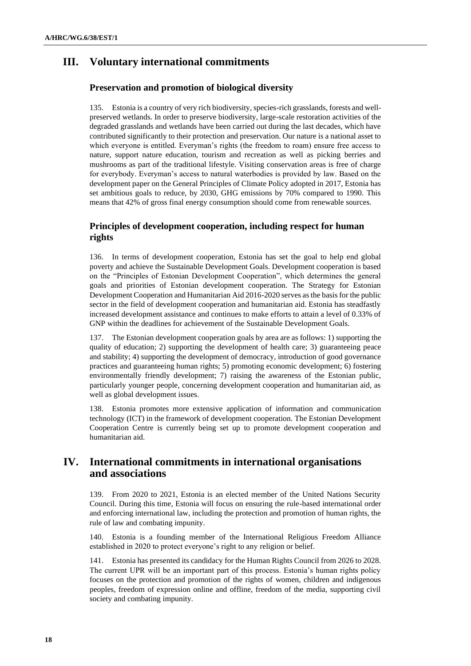# **III. Voluntary international commitments**

# **Preservation and promotion of biological diversity**

135. Estonia is a country of very rich biodiversity, species-rich grasslands, forests and wellpreserved wetlands. In order to preserve biodiversity, large-scale restoration activities of the degraded grasslands and wetlands have been carried out during the last decades, which have contributed significantly to their protection and preservation. Our nature is a national asset to which everyone is entitled. Everyman's rights (the freedom to roam) ensure free access to nature, support nature education, tourism and recreation as well as picking berries and mushrooms as part of the traditional lifestyle. Visiting conservation areas is free of charge for everybody. Everyman's access to natural waterbodies is provided by law. Based on the development paper on the General Principles of Climate Policy adopted in 2017, Estonia has set ambitious goals to reduce, by 2030, GHG emissions by 70% compared to 1990. This means that 42% of gross final energy consumption should come from renewable sources.

# **Principles of development cooperation, including respect for human rights**

136. In terms of development cooperation, Estonia has set the goal to help end global poverty and achieve the Sustainable Development Goals. Development cooperation is based on the "Principles of Estonian Development Cooperation", which determines the general goals and priorities of Estonian development cooperation. The Strategy for Estonian Development Cooperation and Humanitarian Aid 2016-2020 serves as the basis for the public sector in the field of development cooperation and humanitarian aid. Estonia has steadfastly increased development assistance and continues to make efforts to attain a level of 0.33% of GNP within the deadlines for achievement of the Sustainable Development Goals.

137. The Estonian development cooperation goals by area are as follows: 1) supporting the quality of education; 2) supporting the development of health care; 3) guaranteeing peace and stability; 4) supporting the development of democracy, introduction of good governance practices and guaranteeing human rights; 5) promoting economic development; 6) fostering environmentally friendly development; 7) raising the awareness of the Estonian public, particularly younger people, concerning development cooperation and humanitarian aid, as well as global development issues.

138. Estonia promotes more extensive application of information and communication technology (ICT) in the framework of development cooperation. The Estonian Development Cooperation Centre is currently being set up to promote development cooperation and humanitarian aid.

# **IV. International commitments in international organisations and associations**

139. From 2020 to 2021, Estonia is an elected member of the United Nations Security Council. During this time, Estonia will focus on ensuring the rule-based international order and enforcing international law, including the protection and promotion of human rights, the rule of law and combating impunity.

140. Estonia is a founding member of the International Religious Freedom Alliance established in 2020 to protect everyone's right to any religion or belief.

141. Estonia has presented its candidacy for the Human Rights Council from 2026 to 2028. The current UPR will be an important part of this process. Estonia's human rights policy focuses on the protection and promotion of the rights of women, children and indigenous peoples, freedom of expression online and offline, freedom of the media, supporting civil society and combating impunity.